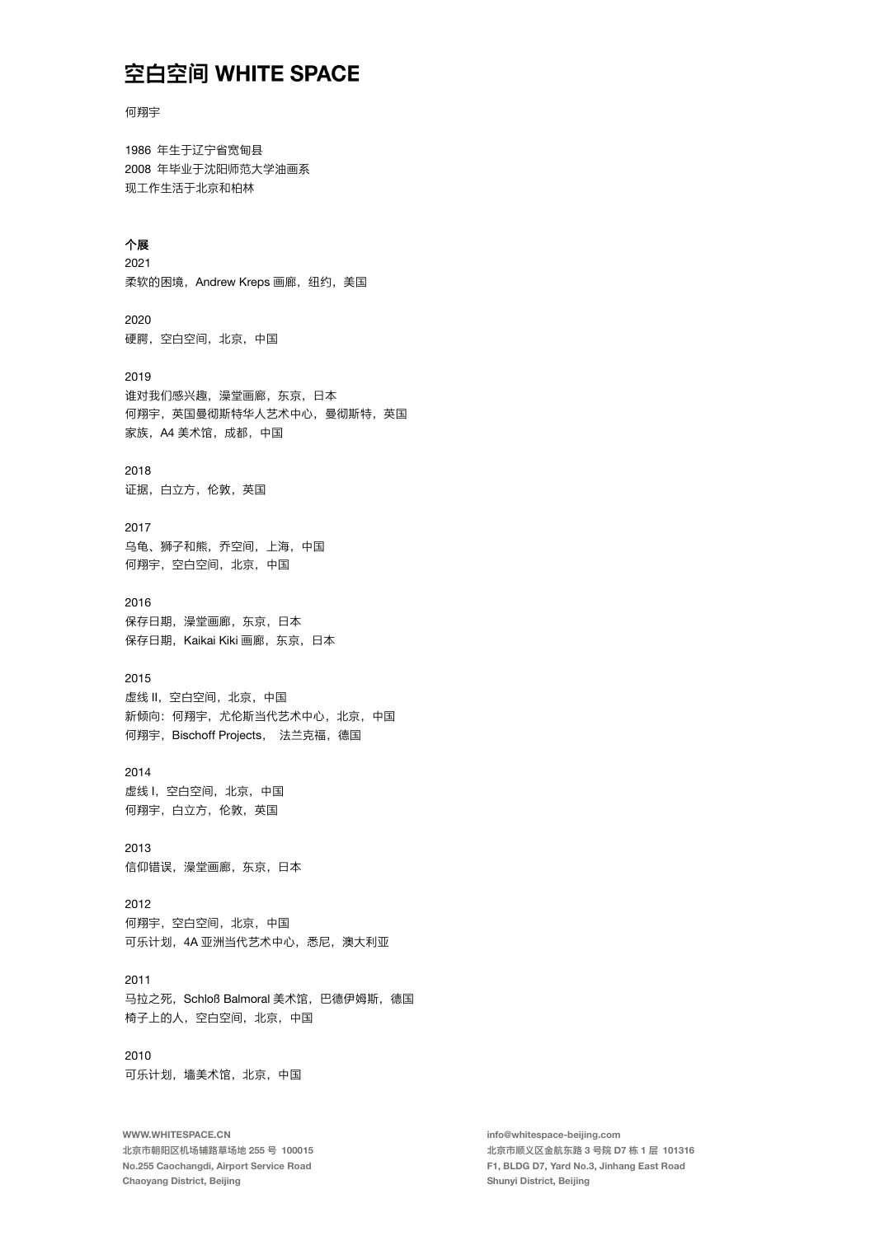```
何翔宇
```
1986 年生干辽宁省宽甸县 2008 年毕业于沈阳师范大学油画系 现工作生活于北京和柏林

#### 个展

2021 柔软的困境, Andrew Kreps 画廊, 纽约, 美国

2020 硬腭,空白空间,北京,中国

2019 谁对我们感兴趣,澡堂画廊,东京,日本 何翔宇, 英国曼彻斯特华人艺术中心, 曼彻斯特, 英国 家族. A4 美术馆. 成都. 中国

### 2018

证据, 白立方, 伦敦, 英国

2017 乌龟、狮子和熊, 乔空间, 上海, 中国 何翔宇,空白空间,北京,中国

### 2016

保存日期,澡堂画廊,东京,日本 保存日期, Kaikai Kiki 画廊, 东京, 日本

#### 2015

虚线Ⅱ. 空白空间, 北京, 中国 新倾向: 何翔宇, 尤伦斯当代艺术中心, 北京, 中国 何翔宇, Bischoff Projects, 法兰克福, 德国

### 2014

虚线 I, 空白空间, 北京, 中国 何翔宇, 白立方, 伦敦, 英国

2013 信仰错误, 澡堂画廊, 东京, 日本

## 2012

何翔宇,空白空间,北京,中国 可乐计划, 4A 亚洲当代艺术中心, 悉尼, 澳大利亚

## 2011

马拉之死, Schloß Balmoral 美术馆, 巴德伊姆斯, 德国 椅子上的人,空白空间,北京,中国

### 2010 可乐计划,墙美术馆,北京,中国

WWW.WHITESPACE.CN 北京市朝阳区机场辅路草场地 255 号 100015 No.255 Caochangdi, Airport Service Road Chaoyang District, Beijing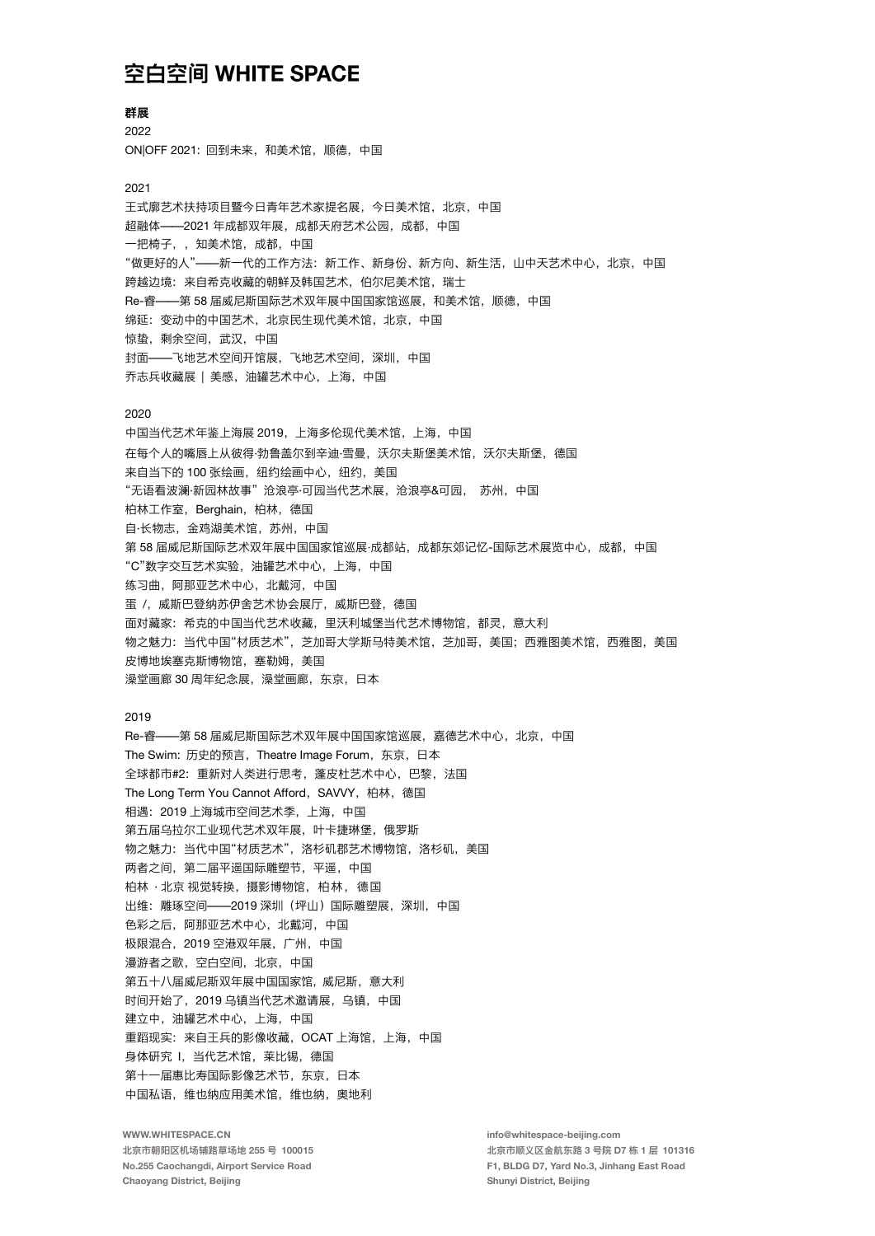#### 群展

2022 ON OFF 2021: 回到未来, 和美术馆, 顺德, 中国

#### 2021

王式廓艺术扶持项目暨今日青年艺术家提名展, 今日美术馆, 北京, 中国 超融体 -- 2021 年成都双年展, 成都天府艺术公园, 成都, 中国 一把椅子,,知美术馆,成都,中国 "做更好的人"——新一代的工作方法: 新工作、新身份、新方向、新生活, 山中天艺术中心, 北京, 中国 跨越边境: 来自希克收藏的朝鲜及韩国艺术, 伯尔尼美术馆, 瑞士 Re-睿——第 58 届威尼斯国际艺术双年展中国国家馆巡展,和美术馆,顺德,中国 绵延: 变动中的中国艺术, 北京民生现代美术馆, 北京, 中国 惊蛰, 剩余空间, 武汉, 中国 封面——飞地艺术空间开馆展,飞地艺术空间,深圳,中国 乔志兵收藏展 | 美感, 油罐艺术中心, 上海, 中国

#### 2020

中国当代艺术年鉴上海展 2019. 上海多伦现代美术馆, 上海, 中国 在每个人的嘴唇上从彼得·勃鲁盖尔到辛迪·雪曼,沃尔夫斯堡美术馆,沃尔夫斯堡,德国 来自当下的100张绘画,纽约绘画中心,纽约,美国 "无语看波澜·新园林故事"沧浪亭·可园当代艺术展,沧浪亭&可园, 苏州, 中国 柏林工作室, Berghain, 柏林, 德国 自·长物志, 金鸡湖美术馆, 苏州, 中国 第 58 届威尼斯国际艺术双年展中国国家馆巡展·成都站,成都东郊记忆-国际艺术展览中心,成都,中国 "C"数字交互艺术实验, 油罐艺术中心, 上海, 中国 练习曲, 阿那亚艺术中心, 北戴河, 中国 蛋 /, 威斯巴登纳苏伊舍艺术协会展厅, 威斯巴登, 德国 面对藏家:希克的中国当代艺术收藏,里沃利城堡当代艺术博物馆,都灵,意大利 物之魅力: 当代中国"材质艺术", 芝加哥大学斯马特美术馆, 芝加哥, 美国; 西雅图美术馆, 西雅图, 美国 皮博地埃塞克斯博物馆, 塞勒姆, 美国 澡堂画廊 30 周年纪念展, 澡堂画廊, 东京, 日本

#### 2019

Re-睿——第58届威尼斯国际艺术双年展中国国家馆巡展,嘉德艺术中心,北京,中国 The Swim: 历史的预言, Theatre Image Forum, 东京, 日本 全球都市#2: 重新对人类进行思考, 蓬皮杜艺术中心, 巴黎, 法国 The Long Term You Cannot Afford, SAVVY, 柏林, 德国 相遇: 2019 上海城市空间艺术季, 上海, 中国 第五届乌拉尔工业现代艺术双年展,叶卡捷琳堡,俄罗斯 物之魅力: 当代中国"材质艺术", 洛杉矶郡艺术博物馆, 洛杉矶, 美国 两者之间, 第二届平遥国际雕塑节, 平遥, 中国 柏林 · 北京 视觉转换, 摄影博物馆, 柏林, 德国 出维: 雕琢空间——2019 深圳 (坪山) 国际雕塑展, 深圳, 中国 色彩之后, 阿那亚艺术中心, 北戴河, 中国 极限混合. 2019 空港双年展. 广州. 中国 漫游者之歌,空白空间,北京,中国 第五十八届威尼斯双年展中国国家馆, 威尼斯, 意大利 时间开始了, 2019 乌镇当代艺术邀请展, 乌镇, 中国 建立中, 油罐艺术中心, 上海, 中国 重蹈现实: 来自王兵的影像收藏, OCAT 上海馆, 上海, 中国 身体研究 I, 当代艺术馆, 莱比锡, 德国 第十一届惠比寿国际影像艺术节, 东京, 日本 中国私语, 维也纳应用美术馆, 维也纳, 奥地利

WWW.WHITESPACE.CN 北京市朝阳区机场辅路草场地 255 号 100015 No.255 Caochangdi, Airport Service Road Chaoyang District, Beijing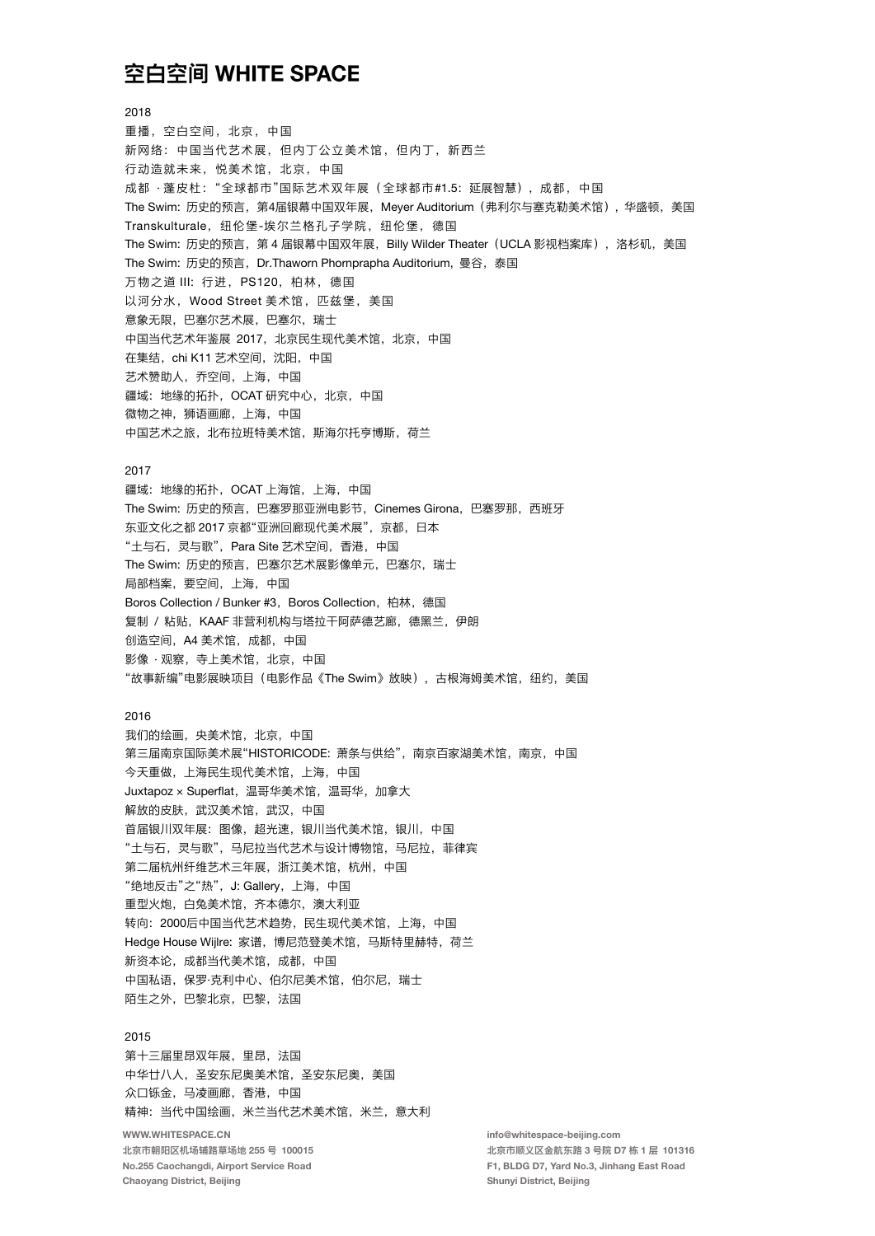2018

重播, 空白空间, 北京, 中国 新网络: 中国当代艺术展, 但内丁公立美术馆, 但内丁, 新西兰 行动造就未来, 悦美术馆, 北京, 中国 成都 · 蓬皮杜: "全球都市"国际艺术双年展 (全球都市#1.5: 延展智慧), 成都, 中国 The Swim: 历史的预言, 第4届银幕中国双年展, Meyer Auditorium (弗利尔与塞克勒美术馆), 华盛顿, 美国 Transkulturale, 纽伦堡-埃尔兰格孔子学院, 纽伦堡, 德国 The Swim: 历史的预言, 第4届银幕中国双年展, Billy Wilder Theater (UCLA 影视档案库), 洛杉矶, 美国 The Swim: 历史的预言, Dr.Thaworn Phornprapha Auditorium, 曼谷, 泰国 万物之道 III: 行进, PS120, 柏林, 德国 以河分水, Wood Street 美术馆, 匹兹堡, 美国 意象无限,巴塞尔艺术展,巴塞尔,瑞士 中国当代艺术年鉴展 2017, 北京民生现代美术馆, 北京, 中国 在集结, chi K11 艺术空间, 沈阳, 中国 艺术赞助人, 乔空间, 上海, 中国 疆域: 地缘的拓扑, OCAT 研究中心, 北京, 中国 微物之神,狮语画廊,上海,中国 中国艺术之旅,北布拉班特美术馆,斯海尔托亨博斯,荷兰

#### 2017

疆域: 地缘的拓扑, OCAT 上海馆, 上海, 中国 The Swim: 历史的预言, 巴塞罗那亚洲电影节, Cinemes Girona, 巴塞罗那, 西班牙 东亚文化之都 2017 京都"亚洲回廊现代美术展", 京都, 日本 "土与石,灵与歌", Para Site 艺术空间,香港, 中国 The Swim: 历史的预言, 巴塞尔艺术展影像单元, 巴塞尔, 瑞士 局部档案, 要空间, 上海, 中国 Boros Collection / Bunker #3, Boros Collection, 柏林, 德国 复制 / 粘贴, KAAF 非营利机构与塔拉干阿萨德艺廊, 德黑兰, 伊朗 创造空间, A4 美术馆, 成都, 中国 影像 · 观察, 寺上美术馆, 北京, 中国 "故事新编"电影展映项目(电影作品《The Swim》放映),古根海姆美术馆,纽约,美国

#### 2016

我们的绘画, 央美术馆, 北京, 中国 第三届南京国际美术展"HISTORICODE: 萧条与供给", 南京百家湖美术馆, 南京, 中国 今天重做, 上海民生现代美术馆, 上海, 中国 Juxtapoz × Superflat, 温哥华美术馆, 温哥华, 加拿大 解放的皮肤, 武汉美术馆, 武汉, 中国 首届银川双年展: 图像, 超光速, 银川当代美术馆, 银川, 中国 "土与石,灵与歌",马尼拉当代艺术与设计博物馆,马尼拉,菲律宾 第二届杭州纤维艺术三年展, 浙江美术馆, 杭州, 中国 "绝地反击"之"热", J: Gallery, 上海, 中国 重型火炮, 白兔美术馆, 齐本德尔, 澳大利亚 转向: 2000后中国当代艺术趋势, 民生现代美术馆, 上海, 中国 Hedge House Wijlre: 家谱, 博尼范登美术馆, 马斯特里赫特, 荷兰 新资本论,成都当代美术馆,成都,中国 中国私语, 保罗·克利中心、伯尔尼美术馆, 伯尔尼, 瑞士 陌生之外,巴黎北京,巴黎,法国

#### 2015

第十三届里昂双年展,里昂,法国 中华廿八人,圣安东尼奥美术馆,圣安东尼奥,美国 众口铄金, 马凌画廊, 香港, 中国 精神: 当代中国绘画, 米兰当代艺术美术馆, 米兰, 意大利 WWW.WHITESPACE.CN

北京市朝阳区机场辅路草场地 255 号 100015 No.255 Caochangdi, Airport Service Road Chaoyang District, Beijing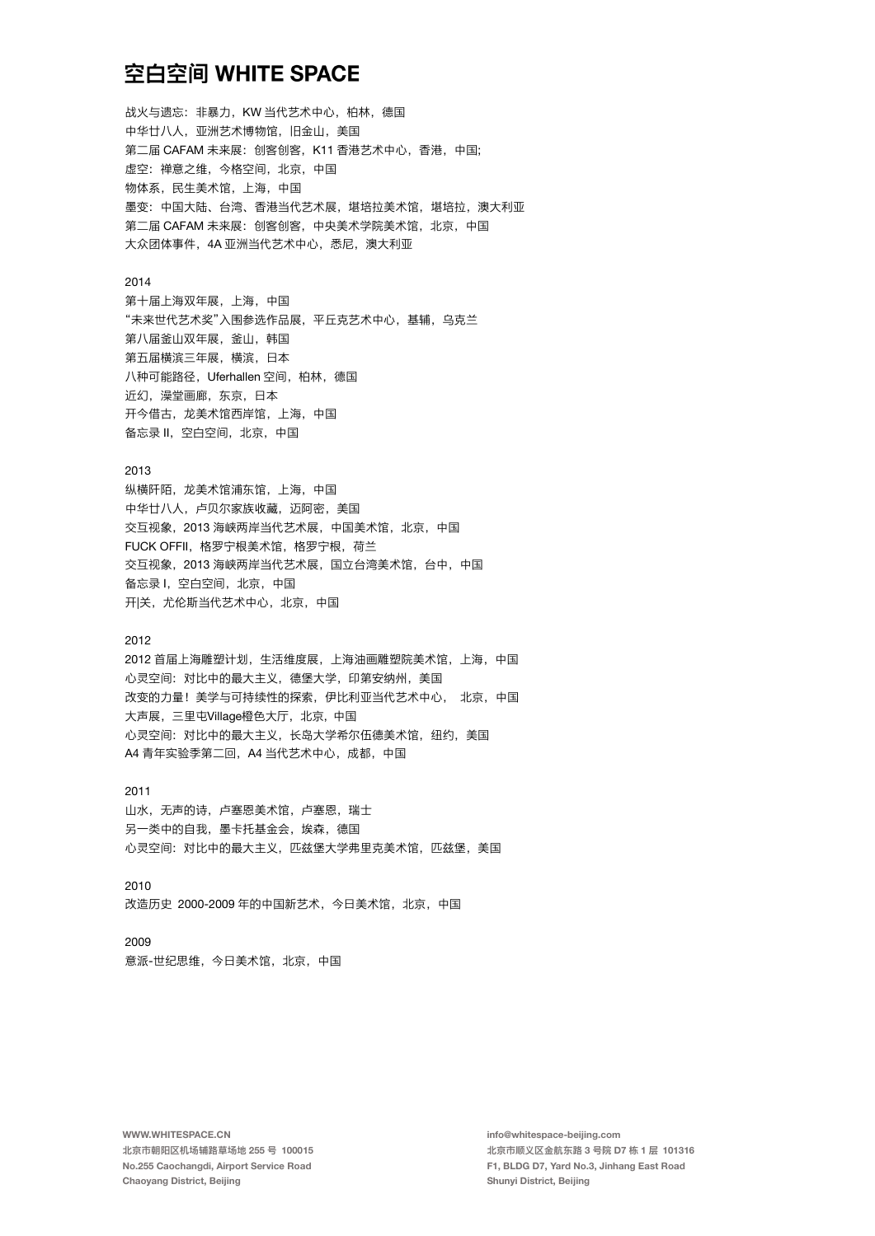战火与遗忘: 非暴力, KW 当代艺术中心, 柏林, 德国 中华廿八人, 亚洲艺术博物馆, 旧金山, 美国 第二届 CAFAM 未来展: 创客创客, K11 香港艺术中心, 香港, 中国; 虚空: 禅意之维, 今格空间, 北京, 中国 物体系, 民生美术馆, 上海, 中国 墨变: 中国大陆、台湾、香港当代艺术展, 堪培拉美术馆, 堪培拉, 澳大利亚 第二届 CAFAM 未来展: 创客创客, 中央美术学院美术馆, 北京, 中国 大众团体事件, 4A 亚洲当代艺术中心, 悉尼, 澳大利亚

#### 2014

第十届上海双年展, 上海, 中国 "未来世代艺术奖"入围参选作品展,平丘克艺术中心,基辅,乌克兰 第八届釜山双年展,釜山,韩国 第五届横滨三年展,横滨,日本 八种可能路径, Uferhallen 空间, 柏林, 德国 近幻,澡堂画廊,东京,日本 开今借古,龙美术馆西岸馆,上海,中国 备忘录 II. 空白空间, 北京, 中国

#### 2013

纵横阡陌,龙美术馆浦东馆,上海,中国 中华廿八人, 卢贝尔家族收藏, 迈阿密, 美国 交互视象, 2013 海峡两岸当代艺术展, 中国美术馆, 北京, 中国 FUCK OFFII, 格罗宁根美术馆, 格罗宁根, 荷兰 交互视象, 2013 海峡两岸当代艺术展, 国立台湾美术馆, 台中, 中国 备忘录 I, 空白空间, 北京, 中国 开|关, 尤伦斯当代艺术中心, 北京, 中国

#### $2012$

2012 首届上海雕塑计划, 生活维度展, 上海油画雕塑院美术馆, 上海, 中国 心灵空间: 对比中的最大主义, 德堡大学, 印第安纳州, 美国 改变的力量! 美学与可持续性的探索, 伊比利亚当代艺术中心, 北京, 中国 大声展, 三里屯Village橙色大厅, 北京, 中国 心灵空间: 对比中的最大主义, 长岛大学希尔伍德美术馆, 纽约, 美国 A4 青年实验季第二回, A4 当代艺术中心, 成都, 中国

### 2011 山水,无声的诗,卢塞恩美术馆,卢塞恩,瑞士 另一类中的自我,墨卡托基金会,埃森,德国 心灵空间: 对比中的最大主义, 匹兹堡大学弗里克美术馆, 匹兹堡, 美国

2010 改造历史 2000-2009 年的中国新艺术, 今日美术馆, 北京, 中国

#### 2009

意派-世纪思维, 今日美术馆, 北京, 中国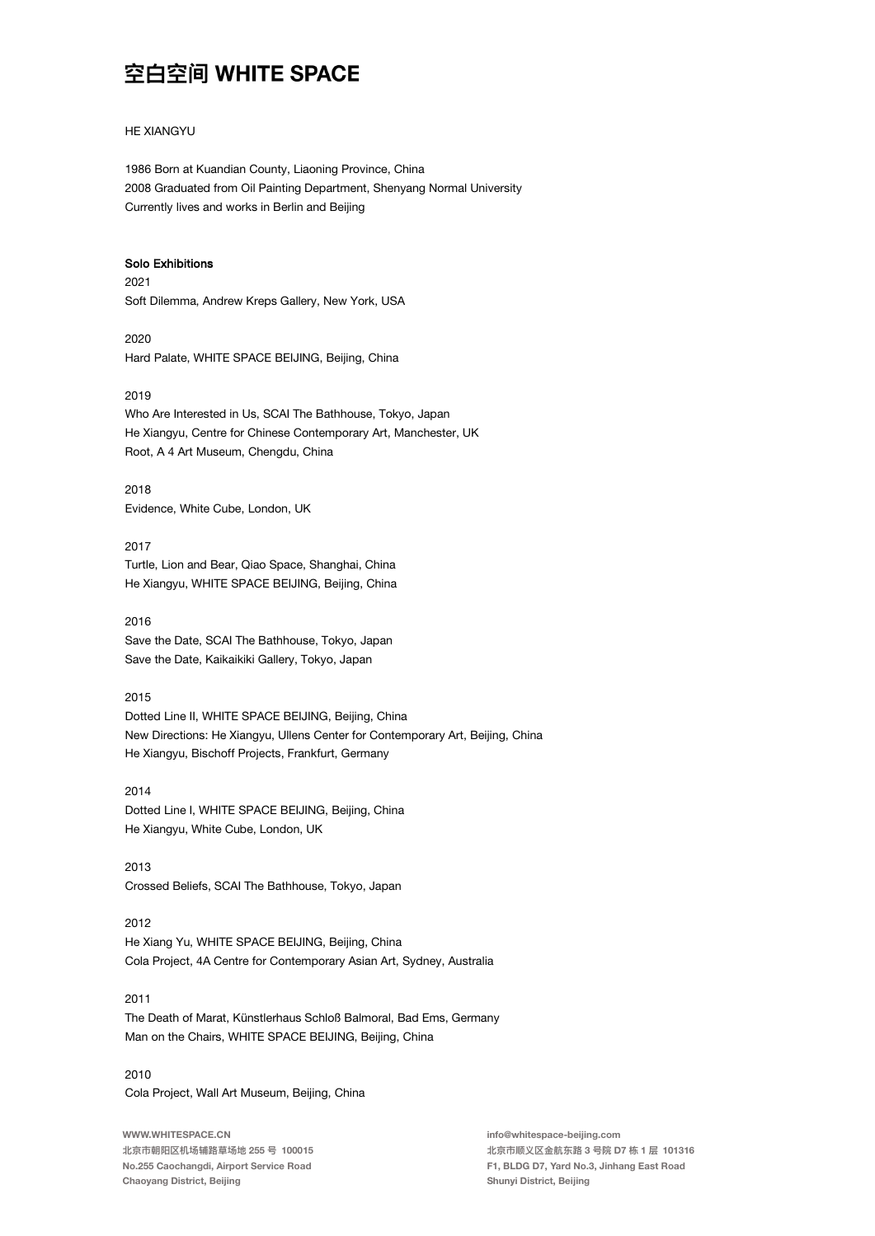#### **HE XIANGYU**

1986 Born at Kuandian County, Liaoning Province, China 2008 Graduated from Oil Painting Department, Shenyang Normal University Currently lives and works in Berlin and Beijing

#### **Solo Exhibitions**

2021 Soft Dilemma, Andrew Kreps Gallery, New York, USA

2020 Hard Palate, WHITE SPACE BEIJING, Beijing, China

#### 2019

Who Are Interested in Us, SCAI The Bathhouse, Tokyo, Japan He Xiangyu, Centre for Chinese Contemporary Art, Manchester, UK Root, A 4 Art Museum, Chengdu, China

2018 Evidence, White Cube, London, UK

2017 Turtle, Lion and Bear, Qiao Space, Shanghai, China He Xiangyu, WHITE SPACE BEIJING, Beijing, China

2016 Save the Date, SCAI The Bathhouse, Tokyo, Japan Save the Date, Kaikaikiki Gallery, Tokyo, Japan

#### 2015

Dotted Line II, WHITE SPACE BEIJING, Beijing, China New Directions: He Xiangyu, Ullens Center for Contemporary Art, Beijing, China He Xiangyu, Bischoff Projects, Frankfurt, Germany

2014 Dotted Line I, WHITE SPACE BEIJING, Beijing, China He Xiangyu, White Cube, London, UK

2013 Crossed Beliefs, SCAI The Bathhouse, Tokyo, Japan

#### 2012

He Xiang Yu, WHITE SPACE BEIJING, Beijing, China Cola Project, 4A Centre for Contemporary Asian Art, Sydney, Australia

#### 2011

The Death of Marat, Künstlerhaus Schloß Balmoral, Bad Ems, Germany Man on the Chairs, WHITE SPACE BEIJING, Beijing, China

2010 Cola Project, Wall Art Museum, Beijing, China

WWW.WHITESPACE.CN 北京市朝阳区机场辅路草场地 255 号 100015 No.255 Caochangdi, Airport Service Road Chaoyang District, Beijing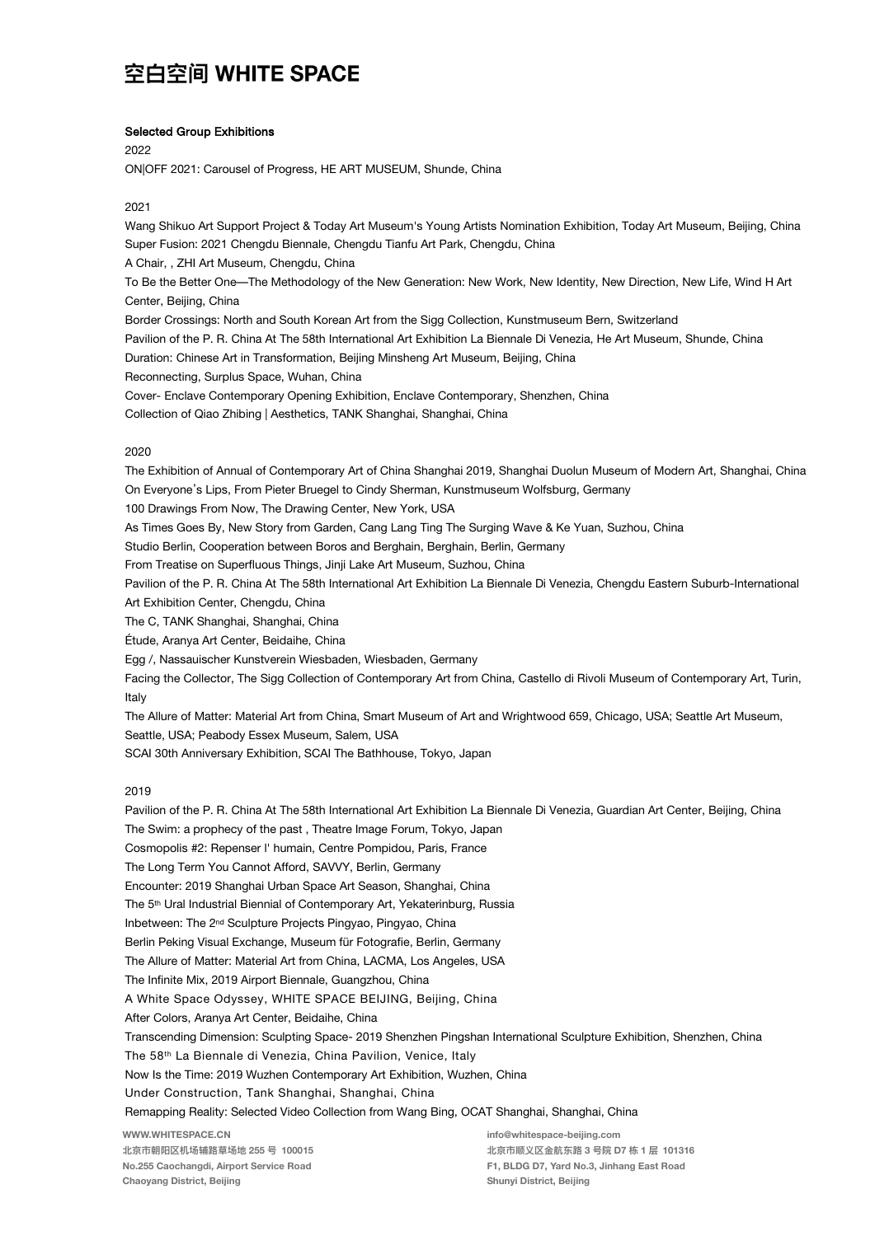#### **Selected Group Exhibitions**

2022

ON|OFF 2021: Carousel of Progress, HE ART MUSEUM, Shunde, China

#### 2021

Wang Shikuo Art Support Project & Today Art Museum's Young Artists Nomination Exhibition, Today Art Museum, Beijing, China Super Fusion: 2021 Chengdu Biennale, Chengdu Tianfu Art Park, Chengdu, China

A Chair, , ZHI Art Museum, Chengdu, China

To Be the Better One-The Methodology of the New Generation: New Work, New Identity, New Direction, New Life, Wind H Art Center, Beiling, China

Border Crossings: North and South Korean Art from the Sigg Collection, Kunstmuseum Bern, Switzerland

Pavilion of the P. R. China At The 58th International Art Exhibition La Biennale Di Venezia, He Art Museum, Shunde, China

Duration: Chinese Art in Transformation, Beijing Minsheng Art Museum, Beijing, China

Reconnecting, Surplus Space, Wuhan, China

Cover- Enclave Contemporary Opening Exhibition, Enclave Contemporary, Shenzhen, China

Collection of Qiao Zhibing | Aesthetics, TANK Shanghai, Shanghai, China

#### 2020

The Exhibition of Annual of Contemporary Art of China Shanghai 2019, Shanghai Duolun Museum of Modern Art, Shanghai, China On Everyone's Lips, From Pieter Bruegel to Cindy Sherman, Kunstmuseum Wolfsburg, Germany

100 Drawings From Now, The Drawing Center, New York, USA

As Times Goes By, New Story from Garden, Cang Lang Ting The Surging Wave & Ke Yuan, Suzhou, China

Studio Berlin, Cooperation between Boros and Berghain, Berghain, Berlin, Germany

From Treatise on Superfluous Things, Jinji Lake Art Museum, Suzhou, China

Pavilion of the P. R. China At The 58th International Art Exhibition La Biennale Di Venezia, Chengdu Eastern Suburb-International

Art Exhibition Center, Chengdu, China

The C, TANK Shanghai, Shanghai, China

Étude, Aranya Art Center, Beidaihe, China

Egg /, Nassauischer Kunstverein Wiesbaden, Wiesbaden, Germany

Facing the Collector, The Sigg Collection of Contemporary Art from China, Castello di Rivoli Museum of Contemporary Art, Turin, Italy

The Allure of Matter: Material Art from China, Smart Museum of Art and Wrightwood 659, Chicago, USA; Seattle Art Museum, Seattle, USA; Peabody Essex Museum, Salem, USA

SCAI 30th Anniversary Exhibition, SCAI The Bathhouse, Tokyo, Japan

#### 2019

Pavilion of the P. R. China At The 58th International Art Exhibition La Biennale Di Venezia, Guardian Art Center, Beijing, China The Swim: a prophecy of the past, Theatre Image Forum, Tokyo, Japan Cosmopolis #2: Repenser l' humain. Centre Pompidou. Paris. France The Long Term You Cannot Afford, SAVVY, Berlin, Germany Encounter: 2019 Shanghai Urban Space Art Season, Shanghai, China The 5<sup>th</sup> Ural Industrial Biennial of Contemporary Art, Yekaterinburg, Russia Inbetween: The 2<sup>nd</sup> Sculpture Projects Pingyao, Pingyao, China Berlin Peking Visual Exchange, Museum für Fotografie, Berlin, Germany The Allure of Matter: Material Art from China, LACMA, Los Angeles, USA The Infinite Mix, 2019 Airport Biennale, Guangzhou, China A White Space Odyssey, WHITE SPACE BEIJING, Beijing, China After Colors, Aranya Art Center, Beidaihe, China Transcending Dimension: Sculpting Space- 2019 Shenzhen Pingshan International Sculpture Exhibition, Shenzhen, China The 58th La Biennale di Venezia, China Pavilion, Venice, Italy Now Is the Time: 2019 Wuzhen Contemporary Art Exhibition, Wuzhen, China Under Construction, Tank Shanghai, Shanghai, China Remapping Reality: Selected Video Collection from Wang Bing, OCAT Shanghai, Shanghai, China WWW.WHITESPACE.CN info@whitespace-beijing.com

北京市朝阳区机场辅路草场地 255 号 100015 No.255 Caochangdi, Airport Service Road Chaoyang District, Beijing

北京市顺义区金航东路 3 号院 D7 栋 1 层 101316 F1, BLDG D7, Yard No.3, Jinhang East Road Shunyi District, Beijing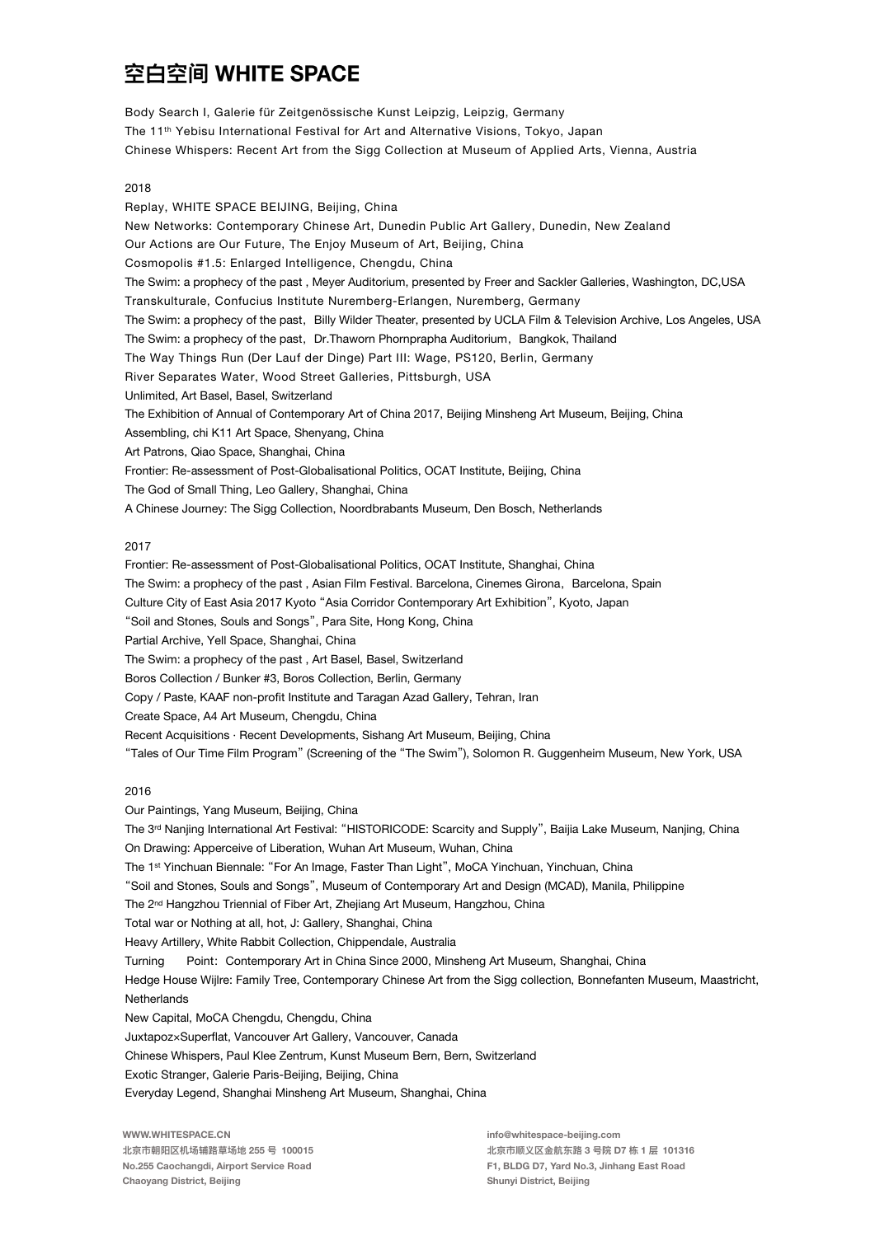Body Search I, Galerie für Zeitgenössische Kunst Leipzig, Leipzig, Germany The 11<sup>th</sup> Yebisu International Festival for Art and Alternative Visions, Tokyo, Japan Chinese Whispers: Recent Art from the Sigg Collection at Museum of Applied Arts, Vienna, Austria

#### 2018

Replay, WHITE SPACE BEIJING, Beijing, China New Networks: Contemporary Chinese Art, Dunedin Public Art Gallery, Dunedin, New Zealand Our Actions are Our Future, The Enjoy Museum of Art, Beijing, China Cosmopolis #1.5: Enlarged Intelligence, Chengdu, China The Swim: a prophecy of the past, Meyer Auditorium, presented by Freer and Sackler Galleries, Washington, DC,USA Transkulturale, Confucius Institute Nuremberg-Erlangen, Nuremberg, Germany The Swim: a prophecy of the past, Billy Wilder Theater, presented by UCLA Film & Television Archive, Los Angeles, USA The Swim: a prophecy of the past, Dr. Thaworn Phornprapha Auditorium, Bangkok, Thailand The Way Things Run (Der Lauf der Dinge) Part III: Wage, PS120, Berlin, Germany River Separates Water, Wood Street Galleries, Pittsburgh, USA Unlimited, Art Basel, Basel, Switzerland The Exhibition of Annual of Contemporary Art of China 2017, Beijing Minsheng Art Museum, Beijing, China Assembling, chi K11 Art Space, Shenyang, China Art Patrons, Qiao Space, Shanghai, China Frontier: Re-assessment of Post-Globalisational Politics, OCAT Institute, Beijing, China The God of Small Thing, Leo Gallery, Shanghai, China A Chinese Journey: The Sigg Collection, Noordbrabants Museum, Den Bosch, Netherlands

#### 2017

Frontier: Re-assessment of Post-Globalisational Politics, OCAT Institute, Shanghai, China The Swim: a prophecy of the past, Asian Film Festival. Barcelona, Cinemes Girona, Barcelona, Spain Culture City of East Asia 2017 Kyoto "Asia Corridor Contemporary Art Exhibition", Kyoto, Japan "Soil and Stones, Souls and Songs", Para Site, Hong Kong, China Partial Archive, Yell Space, Shanghai, China The Swim: a prophecy of the past, Art Basel, Basel, Switzerland Boros Collection / Bunker #3, Boros Collection, Berlin, Germany Copy / Paste, KAAF non-profit Institute and Taragan Azad Gallery, Tehran, Iran Create Space, A4 Art Museum, Chengdu, China Recent Acquisitions · Recent Developments, Sishang Art Museum, Beijing, China "Tales of Our Time Film Program" (Screening of the "The Swim"), Solomon R. Guggenheim Museum, New York, USA

#### 2016

Our Paintings, Yang Museum, Beijing, China The 3<sup>rd</sup> Nanjing International Art Festival: "HISTORICODE: Scarcity and Supply", Baijia Lake Museum, Nanjing, China On Drawing: Apperceive of Liberation, Wuhan Art Museum, Wuhan, China The 1st Yinchuan Biennale: "For An Image, Faster Than Light", MoCA Yinchuan, Yinchuan, China "Soil and Stones, Souls and Songs", Museum of Contemporary Art and Design (MCAD), Manila, Philippine The 2<sup>nd</sup> Hangzhou Triennial of Fiber Art, Zhejiang Art Museum, Hangzhou, China Total war or Nothing at all, hot, J: Gallery, Shanghai, China Heavy Artillery, White Rabbit Collection, Chippendale, Australia Point: Contemporary Art in China Since 2000, Minsheng Art Museum, Shanghai, China Turning Hedge House Wijlre: Family Tree, Contemporary Chinese Art from the Sigg collection, Bonnefanten Museum, Maastricht, Netherlands New Capital, MoCA Chengdu, Chengdu, China JuxtapozxSuperflat, Vancouver Art Gallery, Vancouver, Canada Chinese Whispers, Paul Klee Zentrum, Kunst Museum Bern, Bern, Switzerland Exotic Stranger, Galerie Paris-Beijing, Beijing, China Everyday Legend, Shanghai Minsheng Art Museum, Shanghai, China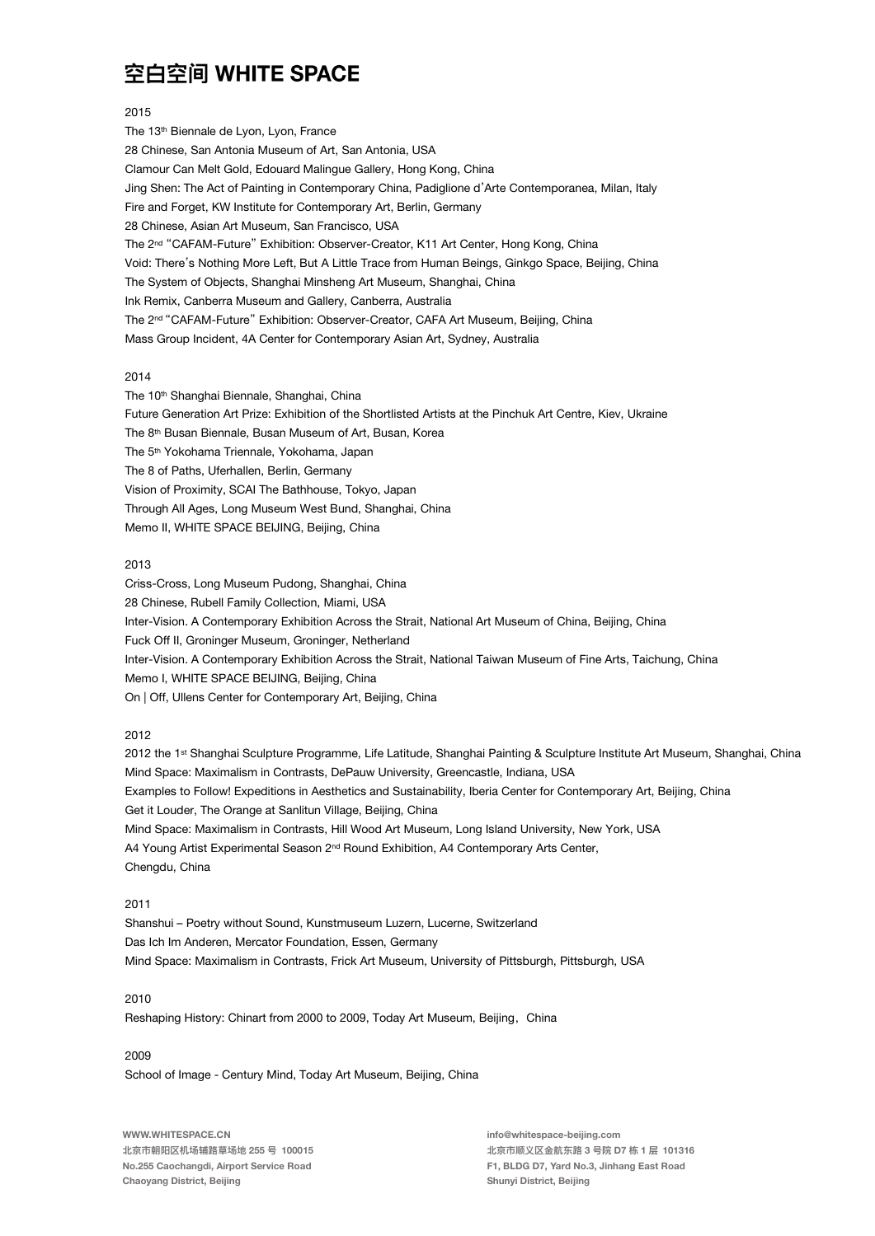#### 2015

The 13th Biennale de Lyon, Lyon, France 28 Chinese, San Antonia Museum of Art, San Antonia, USA Clamour Can Melt Gold, Edouard Malingue Gallery, Hong Kong, China Jing Shen: The Act of Painting in Contemporary China, Padiglione d'Arte Contemporanea, Milan, Italy Fire and Forget, KW Institute for Contemporary Art, Berlin, Germany 28 Chinese, Asian Art Museum, San Francisco, USA The 2<sup>nd</sup> "CAFAM-Future" Exhibition: Observer-Creator, K11 Art Center, Hong Kong, China Void: There's Nothing More Left, But A Little Trace from Human Beings, Ginkgo Space, Beijing, China The System of Objects, Shanghai Minsheng Art Museum, Shanghai, China Ink Remix, Canberra Museum and Gallery, Canberra, Australia The 2<sup>nd</sup> "CAFAM-Future" Exhibition: Observer-Creator, CAFA Art Museum, Beijing, China Mass Group Incident, 4A Center for Contemporary Asian Art, Sydney, Australia

#### 2014

The 10<sup>th</sup> Shanghai Biennale, Shanghai, China Future Generation Art Prize: Exhibition of the Shortlisted Artists at the Pinchuk Art Centre, Kiev, Ukraine The 8<sup>th</sup> Busan Biennale, Busan Museum of Art, Busan, Korea The 5<sup>th</sup> Yokohama Triennale, Yokohama, Japan The 8 of Paths, Uferhallen, Berlin, Germany Vision of Proximity, SCAI The Bathhouse, Tokyo, Japan Through All Ages, Long Museum West Bund, Shanghai, China Memo II, WHITE SPACE BEIJING, Beijing, China

#### 2013

Criss-Cross, Long Museum Pudong, Shanghai, China 28 Chinese, Rubell Family Collection, Miami, USA Inter-Vision. A Contemporary Exhibition Across the Strait, National Art Museum of China, Beijing, China Fuck Off II, Groninger Museum, Groninger, Netherland Inter-Vision. A Contemporary Exhibition Across the Strait, National Taiwan Museum of Fine Arts, Taichung, China Memo I, WHITE SPACE BEIJING, Beijing, China On | Off, Ullens Center for Contemporary Art, Beijing, China

#### 2012

2012 the 1st Shanghai Sculpture Programme, Life Latitude, Shanghai Painting & Sculpture Institute Art Museum, Shanghai, China Mind Space: Maximalism in Contrasts, DePauw University, Greencastle, Indiana, USA Examples to Follow! Expeditions in Aesthetics and Sustainability, Iberia Center for Contemporary Art, Beijing, China Get it Louder, The Orange at Sanlitun Village, Beijing, China Mind Space: Maximalism in Contrasts. Hill Wood Art Museum. Long Island University, New York, USA A4 Young Artist Experimental Season 2<sup>nd</sup> Round Exhibition. A4 Contemporary Arts Center. Chengdu, China

#### $2011$

Shanshui - Poetry without Sound, Kunstmuseum Luzern, Lucerne, Switzerland Das Ich Im Anderen, Mercator Foundation, Essen, Germany Mind Space: Maximalism in Contrasts. Frick Art Museum. University of Pittsburgh. Pittsburgh. USA

#### 2010

Reshaping History: Chinart from 2000 to 2009, Today Art Museum, Beijing, China

#### 2009

School of Image - Century Mind, Today Art Museum, Beijing, China

WWW.WHITESPACE.CN 北京市朝阳区机场辅路草场地 255 号 100015 No.255 Caochangdi, Airport Service Road Chaoyang District, Beijing